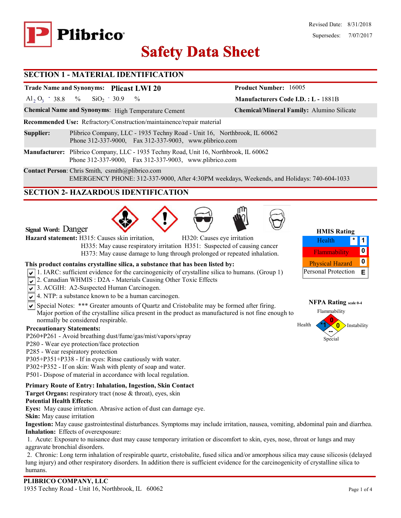

# **Safety Data Sheet Safety Data**

#### **SECTION 1 - MATERIAL IDENTIFICATION**

# **Trade Name and Synonyms: Plicast LWI 20**

Al<sub>2</sub> O<sub>3</sub> - 38.8 % SiO<sub>2</sub> - 30.9 %  $SiO<sub>2</sub> - 30.9$ 

**Chemical Name and Synonyms**: High Temperature Cement **Chemical/Mineral Family:** Alumino Silicate

**Recommended Use:** Refractory/Construction/maintainence/repair material

- **Supplier:** Plibrico Company, LLC 1935 Techny Road Unit 16, Northbrook, IL 60062 Phone 312-337-9000, Fax 312-337-9003, www.plibrico.com
- **Manufacturer:** Plibrico Company, LLC 1935 Techny Road, Unit 16, Northbrook, IL 60062 Phone 312-337-9000, Fax 312-337-9003, www.plibrico.com

**Contact Person**: Chris Smith, csmith@plibrico.com EMERGENCY PHONE: 312-337-9000, After 4:30PM weekdays, Weekends, and Holidays: 740-604-1033

### **SECTION 2- HAZARDOUS IDENTIFICATION**







**Manufacturers Code I.D. : L -** 1881B

**Product Number:** 16005

| <b>HMIS Rating</b>     |  |   |  |  |  |
|------------------------|--|---|--|--|--|
| Health                 |  |   |  |  |  |
| Flammability           |  |   |  |  |  |
| <b>Physical Hazard</b> |  | U |  |  |  |
| Personal Protection    |  | F |  |  |  |

**NFPA Rating scale 0-4**

#### **0**  $Health$ Flammability Instability Special **--**

**Signal Word:** Danger

**Hazard statement:** H315: Causes skin irritation, H320: Causes eye irritation

 H335: May cause respiratory irritation H351: Suspected of causing cancer H373: May cause damage to lung through prolonged or repeated inhalation.

#### **This product contains crystalline silica, a substance that has been listed by:**

- $\sqrt{1}$ . IARC: sufficient evidence for the carcinogenicity of crystalline silica to humans. (Group 1)
- 2. Canadian WHMIS: D2A Materials Causing Other Toxic Effects
- 3. ACGIH: A2-Suspected Human Carcinogen.
- $\sqrt{\sqrt{4}}$ . NTP: a substance known to be a human carcinogen.
- $\overline{\mathsf{S}}$  Special Notes: \*\*\* Greater amounts of Quartz and Cristobalite may be formed after firing. Major portion of the crystalline silica present in the product as manufactured is not fine enough to normally be considered respirable.

#### **Precautionary Statements:**

- P260**+**P261 Avoid breathing dust/fume/gas/mist/vapors/spray
- P280 Wear eye protection/face protection
- P285 Wear respiratory protection
- P305+P351+P338 If in eyes: Rinse cautiously with water.
- P302+P352 If on skin: Wash with plenty of soap and water.
- P501- Dispose of material in accordance with local regulation.

#### **Primary Route of Entry: Inhalation, Ingestion, Skin Contact**

**Target Organs:** respiratory tract (nose & throat), eyes, skin

#### **Potential Health Effects:**

**Eyes:** May cause irritation. Abrasive action of dust can damage eye.

**Skin:** May cause irritation

**Ingestion:** May cause gastrointestinal disturbances. Symptoms may include irritation, nausea, vomiting, abdominal pain and diarrhea. **Inhalation:** Effects of overexposure:

1. Acute: Exposure to nuisance dust may cause temporary irritation or discomfort to skin, eyes, nose, throat or lungs and may aggravate bronchial disorders.

2. Chronic: Long term inhalation of respirable quartz, cristobalite, fused silica and/or amorphous silica may cause silicosis (delayed lung injury) and other respiratory disorders. In addition there is sufficient evidence for the carcinogenicity of crystalline silica to humans.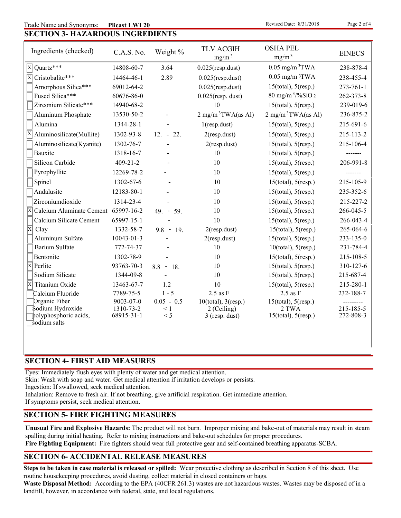#### **SECTION 3- HAZARDOUS INGREDIENTS** Trade Name and Synonyms: Plicast LWI 20

**Revised Date: 8/31/2018** 

| $\prime$ | $^{\prime\prime}$ |
|----------|-------------------|
|          |                   |

| Ingredients (checked)                      | C.A.S. No.              | Weight %        | <b>TLV ACGIH</b><br>mg/m <sup>3</sup> | <b>OSHA PEL</b><br>mg/m <sup>3</sup> | <b>EINECS</b>          |
|--------------------------------------------|-------------------------|-----------------|---------------------------------------|--------------------------------------|------------------------|
| Quartz***<br>$\overline{\mathrm{x}}$       | 14808-60-7              | 3.64            | $0.025$ (resp.dust)                   | $0.05$ mg/m $3$ TWA                  | 238-878-4              |
| $\overline{\mathbf{x}}$<br>Cristobalite*** | 14464-46-1              | 2.89            | $0.025$ (resp.dust)                   | $0.05$ mg/m $3TWA$                   | 238-455-4              |
| Amorphous Silica***                        | 69012-64-2              |                 | $0.025$ (resp.dust)                   | $15$ (total), $5$ (resp.)            | 273-761-1              |
| Fused Silica***                            | 60676-86-0              |                 | $0.025$ (resp. dust)                  | $80 \text{ mg/m}^3$ /%SiO 2          | 262-373-8              |
| Zirconium Silicate***                      | 14940-68-2              |                 | 10                                    | $15$ (total), $5$ (resp.)            | 239-019-6              |
| Aluminum Phosphate                         | 13530-50-2              |                 | $2 \text{ mg/m}^3$ TWA(as Al)         | $2 \text{ mg/m}^3$ TWA(as Al)        | 236-875-2              |
| Alumina                                    | 1344-28-1               |                 | $1$ (resp.dust)                       | $15$ (total), $5$ (resp.)            | 215-691-6              |
| Aluminosilicate(Mullite)                   | 1302-93-8               | $12. - 22.$     | $2$ (resp.dust)                       | $15$ (total), $5$ (resp.)            | 215-113-2              |
| Aluminosilicate(Kyanite)                   | 1302-76-7               |                 | $2$ (resp.dust)                       | $15$ (total), $5$ (resp.)            | 215-106-4              |
| Bauxite                                    | 1318-16-7               |                 | 10                                    | $15$ (total), $5$ (resp.)            | -------                |
| Silicon Carbide                            | $409 - 21 - 2$          |                 | 10                                    | $15$ (total), $5$ (resp.)            | 206-991-8              |
| Pyrophyllite                               | 12269-78-2              |                 | 10                                    | $15$ (total), $5$ (resp.)            |                        |
| Spinel                                     | 1302-67-6               |                 | 10                                    | $15$ (total), $5$ (resp.)            | 215-105-9              |
| Andalusite                                 | 12183-80-1              |                 | 10                                    | $15$ (total), $5$ (resp.)            | 235-352-6              |
| Zirconiumdioxide                           | 1314-23-4               |                 | 10                                    | $15$ (total), $5$ (resp.)            | 215-227-2              |
| X<br>Calcium Aluminate Cement 65997-16-2   |                         | $49. - 59.$     | 10                                    | $15$ (total), $5$ (resp.)            | 266-045-5              |
| Calcium Silicate Cement                    | 65997-15-1              |                 | 10                                    | $15$ (total), $5$ (resp.)            | 266-043-4              |
| ΙX<br>Clay                                 | 1332-58-7               | $9.8 - 19.$     | $2$ (resp.dust)                       | $15$ (total), $5$ (resp.)            | 265-064-6              |
| Aluminum Sulfate                           | 10043-01-3              |                 | $2$ (resp.dust)                       | $15$ (total), $5$ (resp.)            | 233-135-0              |
| <b>Barium Sulfate</b>                      | 772-74-37               |                 | 10                                    | $10$ (total), $5$ (resp.)            | 231-784-4              |
| Bentonite                                  | 1302-78-9               |                 | 10                                    | $15$ (total), $5$ (resp.)            | 215-108-5              |
| X<br>Perlite                               | 93763-70-3              | $8.8 - 18.$     | 10                                    | $15$ (total), $5$ (resp.)            | 310-127-6              |
| Sodium Silicate                            | 1344-09-8               |                 | 10                                    | $15$ (total), $5$ (resp.)            | 215-687-4              |
| Ιx<br>Titanium Oxide                       | 13463-67-7              | 1.2             | 10                                    | $15$ (total), $5$ (resp.)            | 215-280-1              |
| Calcium Fluoride                           | 7789-75-5               | $1 - 5$         | $2.5$ as $F$                          | $2.5$ as $F$                         | 232-188-7              |
| Organic Fiber                              | 9003-07-0               | $0.05 - 0.5$    | $10$ (total), $3$ (resp.)             | $15$ (total), $5$ (resp.)            |                        |
| Sodium Hydroxide<br>polyphosphoric acids,  | 1310-73-2<br>68915-31-1 | $\leq 1$<br>< 5 | 2 (Ceiling)<br>3 (resp. dust)         | 2 TWA<br>$15$ (total), $5$ (resp.)   | 215-185-5<br>272-808-3 |
| sodium salts                               |                         |                 |                                       |                                      |                        |

#### **SECTION 4- FIRST AID MEASURES**

Eyes: Immediately flush eyes with plenty of water and get medical attention.

Skin: Wash with soap and water. Get medical attention if irritation develops or persists.

Ingestion: If swallowed, seek medical attention.

Inhalation: Remove to fresh air. If not breathing, give artificial respiration. Get immediate attention.

If symptoms persist, seek medical attention.

#### **SECTION 5- FIRE FIGHTING MEASURES**

**Unusual Fire and Explosive Hazards:** The product will not burn. Improper mixing and bake-out of materials may result in steam spalling during initial heating. Refer to mixing instructions and bake-out schedules for proper procedures.

**Fire Fighting Equipment:** Fire fighters should wear full protective gear and self-contained breathing apparatus-SCBA.

### **SECTION 6- ACCIDENTAL RELEASE MEASURES**

**Steps to be taken in case material is released or spilled:** Wear protective clothing as described in Section 8 of this sheet. Use routine housekeeping procedures, avoid dusting, collect material in closed containers or bags.

**Waste Disposal Method:** According to the EPA (40CFR 261.3) wastes are not hazardous wastes. Wastes may be disposed of in a landfill, however, in accordance with federal, state, and local regulations.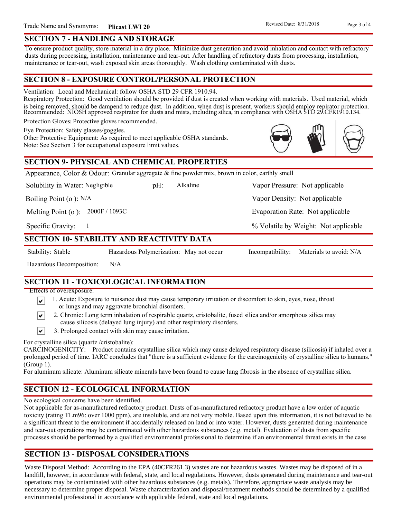To ensure product quality, store material in a dry place. Minimize dust generation and avoid inhalation and contact with refractory dusts during processing, installation, maintenance and tear-out. After handling of refractory dusts from processing, installation, maintenance or tear-out, wash exposed skin areas thoroughly. Wash clothing contaminated with dusts.

### **SECTION 8 - EXPOSURE CONTROL/PERSONAL PROTECTION**

Ventilation: Local and Mechanical: follow OSHA STD 29 CFR 1910.94.

Respiratory Protection: Good ventilation should be provided if dust is created when working with materials. Used material, which is being removed, should be dampend to reduce dust. In addition, when dust is present, workers should employ repirator protection. Recommended: NIOSH approved respirator for dusts and mists, including silica, in compliance with OSHA STD 29.CFR1910.134.

Alkaline

Protection Gloves: Protective gloves recommended.

Eye Protection: Safety glasses/goggles.

Other Protective Equipment: As required to meet applicable OSHA standards. Note: See Section 3 for occupational exposure limit values.

## **SECTION 9- PHYSICAL AND CHEMICAL PROPERTIES**

Appearance, Color & Odour: Granular aggregate & fine powder mix, brown in color, earthly smell

Solubility in Water: Negligible

Boiling Point (o ): N/A

Melting Point (o ): 2000F / 1093C

1

Specific Gravity:

### **SECTION 10- STABILITY AND REACTIVITY DATA**

∣V∣

∣V∣

Stability: Stable Hazardous Polymerization: May not occur Incompatibility: Materials to avoid: N/A

% Volatile by Weight: Not applicable

Evaporation Rate: Not applicable

Vapor Density: Not applicable

pH: Alkaline Vapor Pressure: Not applicable

Hazardous Decomposition: N/A

# **SECTION 11 - TOXICOLOGICAL INFORMATION**

Effects of overexposure:

- 1. Acute: Exposure to nuisance dust may cause temporary irritation or discomfort to skin, eyes, nose, throat or lungs and may aggravate bronchial disorders.
- 2. Chronic: Long term inhalation of respirable quartz, cristobalite, fused silica and/or amorphous silica may cause silicosis (delayed lung injury) and other respiratory disorders.
- $\vert\mathbf{v}\vert$ 3. Prolonged contact with skin may cause irritation.

For crystalline silica (quartz /cristobalite):

CARCINOGENICITY: Product contains crystalline silica which may cause delayed respiratory disease (silicosis) if inhaled over a prolonged period of time. IARC concludes that "there is a sufficient evidence for the carcinogenicity of crystalline silica to humans." (Group 1).

For aluminum silicate: Aluminum silicate minerals have been found to cause lung fibrosis in the absence of crystalline silica.

# **SECTION 12 - ECOLOGICAL INFORMATION**

No ecological concerns have been identified.

Not applicable for as-manufactured refractory product. Dusts of as-manufactured refractory product have a low order of aquatic toxicity (rating TLm96: over 1000 ppm), are insoluble, and are not very mobile. Based upon this information, it is not believed to be a significant threat to the environment if accidentally released on land or into water. However, dusts generated during maintenance and tear-out operations may be contaminated with other hazardous substances (e.g. metal). Evaluation of dusts from specific processes should be performed by a qualified environmental professional to determine if an environmental threat exists in the case

# **SECTION 13 - DISPOSAL CONSIDERATIONS**

Waste Disposal Method: According to the EPA (40CFR261.3) wastes are not hazardous wastes. Wastes may be disposed of in a landfill, however, in accordance with federal, state, and local regulations. However, dusts generated during maintenance and tear-out operations may be contaminated with other hazardous substances (e.g. metals). Therefore, appropriate waste analysis may be necessary to determine proper disposal. Waste characterization and disposal/treatment methods should be determined by a qualified environmental professional in accordance with applicable federal, state and local regulations.